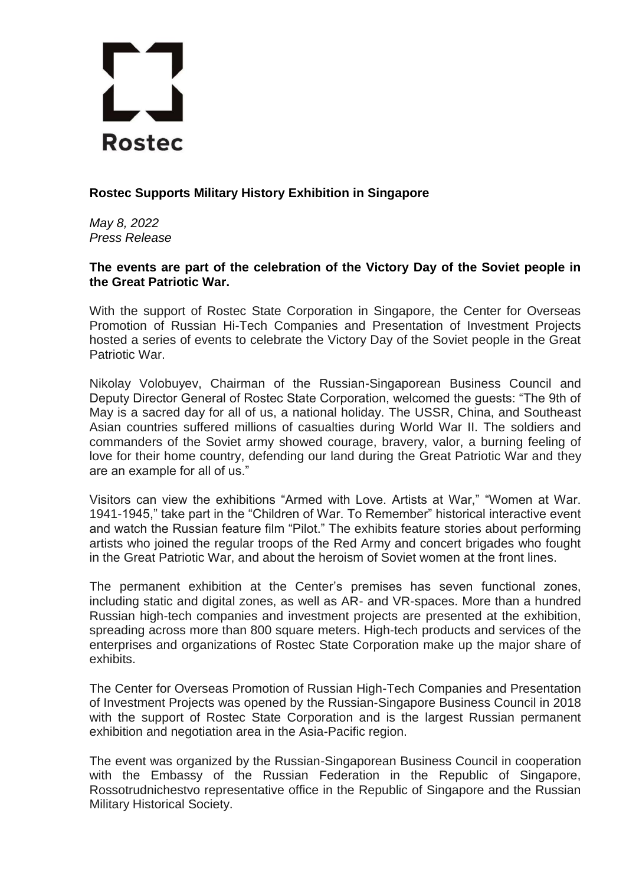

## **Rostec Supports Military History Exhibition in Singapore**

*May 8, 2022 Press Release*

## **The events are part of the celebration of the Victory Day of the Soviet people in the Great Patriotic War.**

With the support of Rostec State Corporation in Singapore, the Center for Overseas Promotion of Russian Hi-Tech Companies and Presentation of Investment Projects hosted a series of events to celebrate the Victory Day of the Soviet people in the Great Patriotic War.

Nikolay Volobuyev, Chairman of the Russian-Singaporean Business Council and Deputy Director General of Rostec State Corporation, welcomed the guests: "The 9th of May is a sacred day for all of us, a national holiday. The USSR, China, and Southeast Asian countries suffered millions of casualties during World War II. The soldiers and commanders of the Soviet army showed courage, bravery, valor, a burning feeling of love for their home country, defending our land during the Great Patriotic War and they are an example for all of us."

Visitors can view the exhibitions "Armed with Love. Artists at War," "Women at War. 1941-1945," take part in the "Children of War. To Remember" historical interactive event and watch the Russian feature film "Pilot." The exhibits feature stories about performing artists who joined the regular troops of the Red Army and concert brigades who fought in the Great Patriotic War, and about the heroism of Soviet women at the front lines.

The permanent exhibition at the Center's premises has seven functional zones, including static and digital zones, as well as AR- and VR-spaces. More than a hundred Russian high-tech companies and investment projects are presented at the exhibition, spreading across more than 800 square meters. High-tech products and services of the enterprises and organizations of Rostec State Corporation make up the major share of exhibits.

The Center for Overseas Promotion of Russian High-Tech Companies and Presentation of Investment Projects was opened by the Russian-Singapore Business Council in 2018 with the support of Rostec State Corporation and is the largest Russian permanent exhibition and negotiation area in the Asia-Pacific region.

The event was organized by the Russian-Singaporean Business Council in cooperation with the Embassy of the Russian Federation in the Republic of Singapore, Rossotrudnichestvo representative office in the Republic of Singapore and the Russian Military Historical Society.